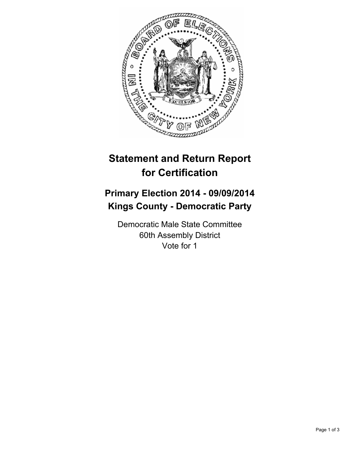

## **Statement and Return Report for Certification**

## **Primary Election 2014 - 09/09/2014 Kings County - Democratic Party**

Democratic Male State Committee 60th Assembly District Vote for 1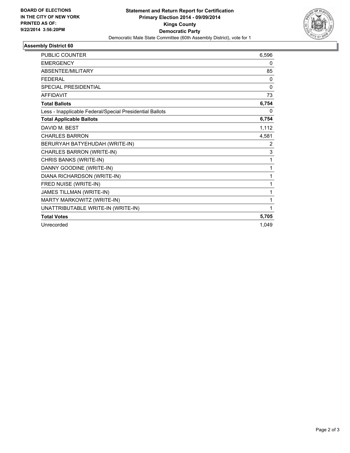

## **Assembly District 60**

| <b>PUBLIC COUNTER</b>                                    | 6,596    |
|----------------------------------------------------------|----------|
| <b>EMERGENCY</b>                                         | 0        |
| <b>ABSENTEE/MILITARY</b>                                 | 85       |
| <b>FEDERAL</b>                                           | 0        |
| <b>SPECIAL PRESIDENTIAL</b>                              | $\Omega$ |
| <b>AFFIDAVIT</b>                                         | 73       |
| <b>Total Ballots</b>                                     | 6,754    |
| Less - Inapplicable Federal/Special Presidential Ballots | 0        |
| <b>Total Applicable Ballots</b>                          | 6,754    |
| DAVID M. BEST                                            | 1,112    |
| <b>CHARLES BARRON</b>                                    | 4,581    |
| BERURYAH BATYEHUDAH (WRITE-IN)                           | 2        |
| CHARLES BARRON (WRITE-IN)                                | 3        |
| CHRIS BANKS (WRITE-IN)                                   | 1        |
| DANNY GOODINE (WRITE-IN)                                 | 1        |
| DIANA RICHARDSON (WRITE-IN)                              | 1        |
| FRED NUISE (WRITE-IN)                                    | 1        |
| JAMES TILLMAN (WRITE-IN)                                 | 1        |
| MARTY MARKOWITZ (WRITE-IN)                               | 1        |
| UNATTRIBUTABLE WRITE-IN (WRITE-IN)                       | 1        |
| <b>Total Votes</b>                                       | 5,705    |
| Unrecorded                                               | 1,049    |